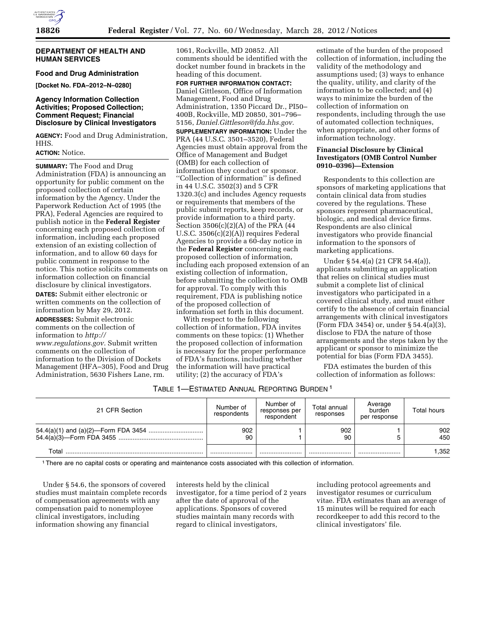

## **DEPARTMENT OF HEALTH AND HUMAN SERVICES**

## **Food and Drug Administration**

**[Docket No. FDA–2012–N–0280]** 

# **Agency Information Collection Activities; Proposed Collection; Comment Request; Financial Disclosure by Clinical Investigators**

**AGENCY:** Food and Drug Administration, HHS.

## **ACTION:** Notice.

**SUMMARY:** The Food and Drug Administration (FDA) is announcing an opportunity for public comment on the proposed collection of certain information by the Agency. Under the Paperwork Reduction Act of 1995 (the PRA), Federal Agencies are required to publish notice in the **Federal Register**  concerning each proposed collection of information, including each proposed extension of an existing collection of information, and to allow 60 days for public comment in response to the notice. This notice solicits comments on information collection on financial disclosure by clinical investigators.

**DATES:** Submit either electronic or written comments on the collection of information by May 29, 2012.

**ADDRESSES:** Submit electronic comments on the collection of information to *[http://](http://www.regulations.gov) [www.regulations.gov.](http://www.regulations.gov)* Submit written comments on the collection of information to the Division of Dockets Management (HFA–305), Food and Drug Administration, 5630 Fishers Lane, rm.

1061, Rockville, MD 20852. All comments should be identified with the docket number found in brackets in the heading of this document.

**FOR FURTHER INFORMATION CONTACT:**  Daniel Gittleson, Office of Information Management, Food and Drug Administration, 1350 Piccard Dr., PI50– 400B, Rockville, MD 20850, 301–796– 5156, *[Daniel.Gittleson@fda.hhs.gov.](mailto:Daniel.Gittleson@fda.hhs.gov)*  **SUPPLEMENTARY INFORMATION:** Under the PRA (44 U.S.C. 3501–3520), Federal Agencies must obtain approval from the Office of Management and Budget (OMB) for each collection of information they conduct or sponsor. ''Collection of information'' is defined in 44 U.S.C. 3502(3) and 5 CFR 1320.3(c) and includes Agency requests or requirements that members of the public submit reports, keep records, or provide information to a third party. Section 3506(c)(2)(A) of the PRA (44 U.S.C. 3506(c)(2)(A)) requires Federal Agencies to provide a 60-day notice in the **Federal Register** concerning each proposed collection of information, including each proposed extension of an existing collection of information, before submitting the collection to OMB for approval. To comply with this requirement, FDA is publishing notice of the proposed collection of information set forth in this document.

With respect to the following collection of information, FDA invites comments on these topics: (1) Whether the proposed collection of information is necessary for the proper performance of FDA's functions, including whether the information will have practical utility; (2) the accuracy of FDA's

estimate of the burden of the proposed collection of information, including the validity of the methodology and assumptions used; (3) ways to enhance the quality, utility, and clarity of the information to be collected; and (4) ways to minimize the burden of the collection of information on respondents, including through the use of automated collection techniques, when appropriate, and other forms of information technology.

## **Financial Disclosure by Clinical Investigators (OMB Control Number 0910–0396)—Extension**

Respondents to this collection are sponsors of marketing applications that contain clinical data from studies covered by the regulations. These sponsors represent pharmaceutical, biologic, and medical device firms. Respondents are also clinical investigators who provide financial information to the sponsors of marketing applications.

Under § 54.4(a) (21 CFR 54.4(a)), applicants submitting an application that relies on clinical studies must submit a complete list of clinical investigators who participated in a covered clinical study, and must either certify to the absence of certain financial arrangements with clinical investigators (Form FDA 3454) or, under § 54.4(a)(3), disclose to FDA the nature of those arrangements and the steps taken by the applicant or sponsor to minimize the potential for bias (Form FDA 3455).

FDA estimates the burden of this collection of information as follows:

# TABLE 1—ESTIMATED ANNUAL REPORTING BURDEN 1

| 21 CFR Section | Number of<br>respondents | Number of<br>responses per<br>respondent | Total annual<br>responses | Average<br>burden<br>per response | Total hours |
|----------------|--------------------------|------------------------------------------|---------------------------|-----------------------------------|-------------|
|                | 902<br>90                |                                          | 902<br>90                 |                                   | 902<br>450  |
| Total          |                          |                                          |                           |                                   | 1.352       |

1There are no capital costs or operating and maintenance costs associated with this collection of information.

Under § 54.6, the sponsors of covered studies must maintain complete records of compensation agreements with any compensation paid to nonemployee clinical investigators, including information showing any financial

interests held by the clinical investigator, for a time period of 2 years after the date of approval of the applications. Sponsors of covered studies maintain many records with regard to clinical investigators,

including protocol agreements and investigator resumes or curriculum vitae. FDA estimates than an average of 15 minutes will be required for each recordkeeper to add this record to the clinical investigators' file.